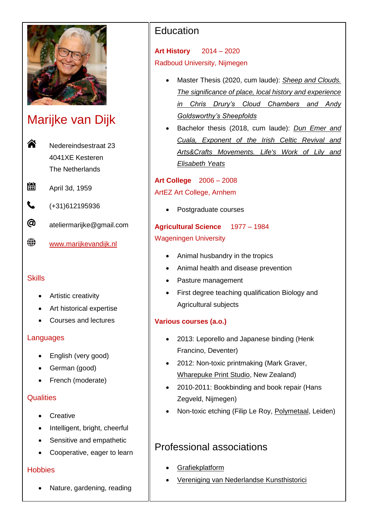

# Marijke van Dijk

<mark>솖</mark> Nedereindsestraat 23 4041XE Kesteren The Netherlands

- 闓 April 3d, 1959
- $\mathbf{C}$ (+31)612195936
- @ ateliermarijke@gmail.com
- ⊕. <www.marijkevandijk.nl>

### **Skills**

- Artistic creativity
- Art historical expertise
- Courses and lectures

### Languages

- English (very good)
- German (good)
- French (moderate)

### **Qualities**

- Creative
- Intelligent, bright, cheerful
- Sensitive and empathetic
- Cooperative, eager to learn

### **Hobbies**

Nature, gardening, reading

# **Education**

**Art History** 2014 – 2020 Radboud University, Nijmegen

- Master Thesis (2020, cum laude): *[Sheep and Clouds.](https://theses.ubn.ru.nl/handle/123456789/8679)  [The significance of place, local history and experience](https://theses.ubn.ru.nl/handle/123456789/8679)  [in Chris Drury's Cloud Chambers and Andy](https://theses.ubn.ru.nl/handle/123456789/8679)  [Goldsworthy's Sheepfolds](https://theses.ubn.ru.nl/handle/123456789/8679)*
- Bachelor thesis (2018, cum laude): *[Dun Emer and](https://theses.ubn.ru.nl/handle/123456789/5716)  [Cuala, Exponent of the Irish Celtic Revival and](https://theses.ubn.ru.nl/handle/123456789/5716)  [Arts&Crafts Movements. Life's Work of Lily and](https://theses.ubn.ru.nl/handle/123456789/5716)  [Elisabeth Yeats](https://theses.ubn.ru.nl/handle/123456789/5716)*

**Art College** 2006 – 2008 ArtEZ Art College, Arnhem

• Postgraduate courses

# **Agricultural Science** 1977 – 1984 Wageningen University

- Animal husbandry in the tropics
- Animal health and disease prevention
- Pasture management
- First degree teaching qualification Biology and Agricultural subjects

### **Various courses (a.o.)**

- 2013: Leporello and Japanese binding (Henk Francino, Deventer)
- 2012: Non-toxic printmaking (Mark Graver, [Wharepuke Print Studio,](http://www.markgraver.com/wharepuke-print-studio/) New Zealand)
- 2010-2011: Bookbinding and book repair (Hans Zegveld, Nijmegen)
- Non-toxic etching (Filip Le Roy, [Polymetaal,](https://www.polymetaal.nl/en-uk/index.html) Leiden)

# Professional associations

- **[Grafiekplatform](https://www.grafiekplatform.nl/)**
- [Vereniging van Nederlandse Kunsthistorici](https://www.kunsthistorici.nl/)